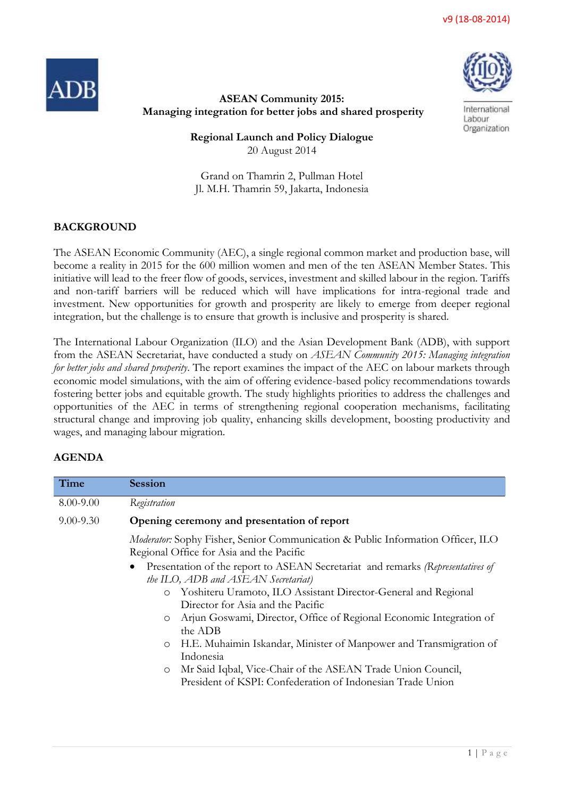v9 (18-08-2014)





International Labour Organization

## **ASEAN Community 2015: Managing integration for better jobs and shared prosperity**

**Regional Launch and Policy Dialogue** 20 August 2014

Grand on Thamrin 2, Pullman Hotel Jl. M.H. Thamrin 59, Jakarta, Indonesia

# **BACKGROUND**

The ASEAN Economic Community (AEC), a single regional common market and production base, will become a reality in 2015 for the 600 million women and men of the ten ASEAN Member States. This initiative will lead to the freer flow of goods, services, investment and skilled labour in the region. Tariffs and non-tariff barriers will be reduced which will have implications for intra-regional trade and investment. New opportunities for growth and prosperity are likely to emerge from deeper regional integration, but the challenge is to ensure that growth is inclusive and prosperity is shared.

The International Labour Organization (ILO) and the Asian Development Bank (ADB), with support from the ASEAN Secretariat, have conducted a study on *ASEAN Community 2015: Managing integration for better jobs and shared prosperity*. The report examines the impact of the AEC on labour markets through economic model simulations, with the aim of offering evidence-based policy recommendations towards fostering better jobs and equitable growth. The study highlights priorities to address the challenges and opportunities of the AEC in terms of strengthening regional cooperation mechanisms, facilitating structural change and improving job quality, enhancing skills development, boosting productivity and wages, and managing labour migration.

## **AGENDA**

| Time          | <b>Session</b>                                                                                                                                                                                                                                                                                                                                                                                                                                                                                                                                                                                                                                                                                             |
|---------------|------------------------------------------------------------------------------------------------------------------------------------------------------------------------------------------------------------------------------------------------------------------------------------------------------------------------------------------------------------------------------------------------------------------------------------------------------------------------------------------------------------------------------------------------------------------------------------------------------------------------------------------------------------------------------------------------------------|
| 8.00-9.00     | Registration                                                                                                                                                                                                                                                                                                                                                                                                                                                                                                                                                                                                                                                                                               |
| $9.00 - 9.30$ | Opening ceremony and presentation of report                                                                                                                                                                                                                                                                                                                                                                                                                                                                                                                                                                                                                                                                |
|               | Moderator: Sophy Fisher, Senior Communication & Public Information Officer, ILO<br>Regional Office for Asia and the Pacific<br>Presentation of the report to ASEAN Secretariat and remarks (Representatives of<br>the ILO, ADB and ASEAN Secretariat)<br>Yoshiteru Uramoto, ILO Assistant Director-General and Regional<br>$\circ$<br>Director for Asia and the Pacific<br>Arjun Goswami, Director, Office of Regional Economic Integration of<br>$\circ$<br>the ADB<br>H.E. Muhaimin Iskandar, Minister of Manpower and Transmigration of<br>$\circ$<br>Indonesia<br>Mr Said Iqbal, Vice-Chair of the ASEAN Trade Union Council,<br>$\circ$<br>President of KSPI: Confederation of Indonesian Trade Union |
|               |                                                                                                                                                                                                                                                                                                                                                                                                                                                                                                                                                                                                                                                                                                            |